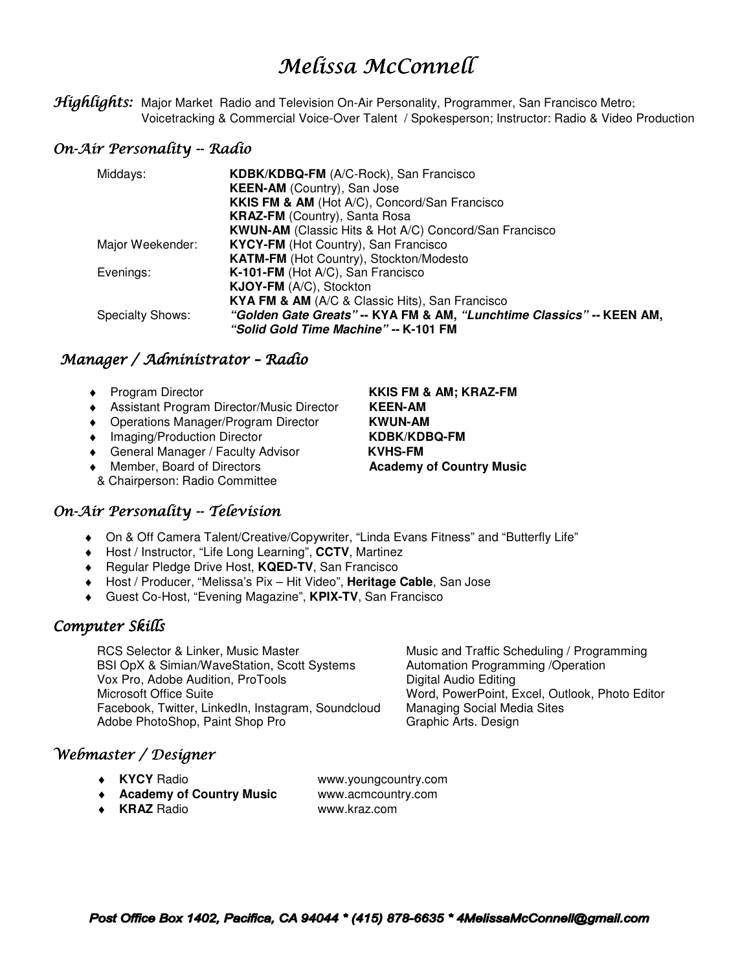# Melissa McConnell

Highlights: Major Market Radio and Television On-Air Personality, Programmer, San Francisco Metro; Voicetracking & Commercial Voice-Over Talent / Spokesperson; Instructor: Radio & Video Production

## On-Air Personality -- Radio

| KDBK/KDBQ-FM (A/C-Rock), San Francisco                                |
|-----------------------------------------------------------------------|
| <b>KEEN-AM</b> (Country), San Jose                                    |
| KKIS FM & AM (Hot A/C), Concord/San Francisco                         |
| <b>KRAZ-FM</b> (Country), Santa Rosa                                  |
| KWUN-AM (Classic Hits & Hot A/C) Concord/San Francisco                |
| <b>KYCY-FM</b> (Hot Country), San Francisco                           |
| KATM-FM (Hot Country), Stockton/Modesto                               |
| K-101-FM (Hot A/C), San Francisco                                     |
| KJOY-FM (A/C), Stockton                                               |
| KYA FM & AM (A/C & Classic Hits), San Francisco                       |
| "Golden Gate Greats" -- KYA FM & AM, "Lunchtime Classics" -- KEEN AM, |
| "Solid Gold Time Machine" -- K-101 FM                                 |
|                                                                       |

# Manager / Administrator - Radio

- 
- ♦ Assistant Program Director/Music Director **KEEN-AM**
- ♦ Operations Manager/Program Director **KWUN-AM**
- ♦ Imaging/Production Director **KDBK/KDBQ-FM**
- ♦ General Manager / Faculty Advisor **KVHS-FM**
- ♦ Member, Board of Directors **Academy of Country Music**
- & Chairperson: Radio Committee

# On-Air Personality -- Television

- ♦ On & Off Camera Talent/Creative/Copywriter, "Linda Evans Fitness" and "Butterfly Life"
- ♦ Host / Instructor, "Life Long Learning", **CCTV**, Martinez
- ♦ Regular Pledge Drive Host, **KQED-TV**, San Francisco
- ♦ Host / Producer, "Melissa's Pix Hit Video", **Heritage Cable**, San Jose
- ♦ Guest Co-Host, "Evening Magazine", **KPIX-TV**, San Francisco

# Computer Skills

RCS Selector & Linker, Music Master Music Music and Traffic Scheduling / Programming<br>BSI OpX & Simian/WaveStation, Scott Systems Automation Programming / Operation BSI OpX & Simian/WaveStation, Scott Systems Vox Pro, Adobe Audition, ProToolsDigital Audio Editing Microsoft Office SuiteWord, PowerPoint, Excel, Outlook, Photo Editor Facebook, Twitter, LinkedIn, Instagram, Soundcloud Adobe PhotoShop, Paint Shop Pro Graphic Arts. Design

# Webmaster / Designer

- 
- ♦ **Academy of Country Music** www.acmcountry.com

♦ **KYCY** Radio www.youngcountry.com

♦ **KRAZ** Radio www.kraz.com

♦ Program Director **KKIS FM & AM; KRAZ-FM**